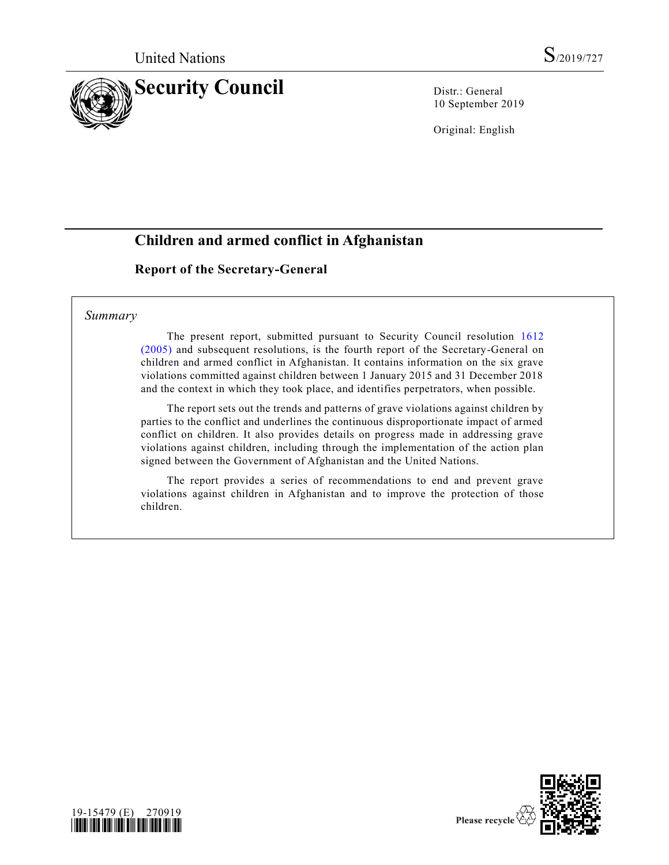

10 September 2019

Original: English

# **Children and armed conflict in Afghanistan**

## **Report of the Secretary-General**

## *Summary*

The present report, submitted pursuant to Security Council resolution [1612](https://undocs.org/en/S/RES/1612%20(2005))  [\(2005\)](https://undocs.org/en/S/RES/1612%20(2005)) and subsequent resolutions, is the fourth report of the Secretary-General on children and armed conflict in Afghanistan. It contains information on the six grave violations committed against children between 1 January 2015 and 31 December 2018 and the context in which they took place, and identifies perpetrators, when possible.

The report sets out the trends and patterns of grave violations against children by parties to the conflict and underlines the continuous disproportionate impact of armed conflict on children. It also provides details on progress made in addressing grave violations against children, including through the implementation of the action plan signed between the Government of Afghanistan and the United Nations.

The report provides a series of recommendations to end and prevent grave violations against children in Afghanistan and to improve the protection of those children.



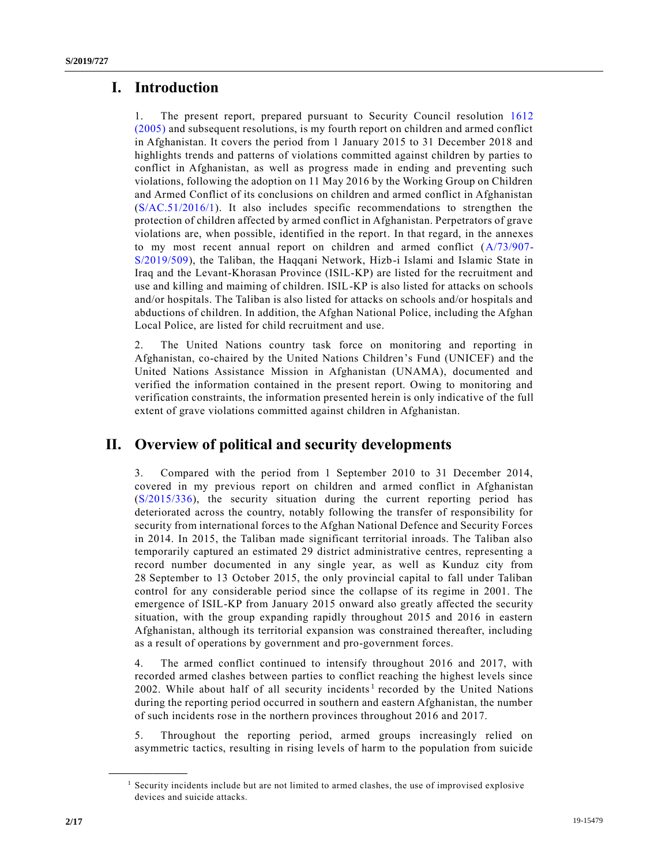# **I. Introduction**

1. The present report, prepared pursuant to Security Council resolution [1612](https://undocs.org/en/S/RES/1612%20(2005))  [\(2005\)](https://undocs.org/en/S/RES/1612%20(2005)) and subsequent resolutions, is my fourth report on children and armed conflict in Afghanistan. It covers the period from 1 January 2015 to 31 December 2018 and highlights trends and patterns of violations committed against children by parties to conflict in Afghanistan, as well as progress made in ending and preventing such violations, following the adoption on 11 May 2016 by the Working Group on Children and Armed Conflict of its conclusions on children and armed conflict in Afghanistan [\(S/AC.51/2016/1\)](https://undocs.org/en/S/AC.51/2016/1). It also includes specific recommendations to strengthen the protection of children affected by armed conflict in Afghanistan. Perpetrators of grave violations are, when possible, identified in the report. In that regard, in the annexes to my most recent annual report on children and armed conflict [\(A/73/907-](https://undocs.org/en/S/2019/509) [S/2019/509\)](https://undocs.org/en/S/2019/509), the Taliban, the Haqqani Network, Hizb-i Islami and Islamic State in Iraq and the Levant-Khorasan Province (ISIL-KP) are listed for the recruitment and use and killing and maiming of children. ISIL-KP is also listed for attacks on schools and/or hospitals. The Taliban is also listed for attacks on schools and/or hospitals and abductions of children. In addition, the Afghan National Police, including the Afghan Local Police, are listed for child recruitment and use.

2. The United Nations country task force on monitoring and reporting in Afghanistan, co-chaired by the United Nations Children's Fund (UNICEF) and the United Nations Assistance Mission in Afghanistan (UNAMA), documented and verified the information contained in the present report. Owing to monitoring and verification constraints, the information presented herein is only indicative of the full extent of grave violations committed against children in Afghanistan.

# **II. Overview of political and security developments**

3. Compared with the period from 1 September 2010 to 31 December 2014, covered in my previous report on children and armed conflict in Afghanistan [\(S/2015/336\)](https://undocs.org/en/S/2015/336), the security situation during the current reporting period has deteriorated across the country, notably following the transfer of responsibility for security from international forces to the Afghan National Defence and Security Forces in 2014. In 2015, the Taliban made significant territorial inroads. The Taliban also temporarily captured an estimated 29 district administrative centres, representing a record number documented in any single year, as well as Kunduz city from 28 September to 13 October 2015, the only provincial capital to fall under Taliban control for any considerable period since the collapse of its regime in 2001. The emergence of ISIL-KP from January 2015 onward also greatly affected the security situation, with the group expanding rapidly throughout 2015 and 2016 in eastern Afghanistan, although its territorial expansion was constrained thereafter, including as a result of operations by government and pro-government forces.

4. The armed conflict continued to intensify throughout 2016 and 2017, with recorded armed clashes between parties to conflict reaching the highest levels since 2002. While about half of all security incidents<sup>1</sup> recorded by the United Nations during the reporting period occurred in southern and eastern Afghanistan, the number of such incidents rose in the northern provinces throughout 2016 and 2017.

5. Throughout the reporting period, armed groups increasingly relied on asymmetric tactics, resulting in rising levels of harm to the population from suicide

<sup>&</sup>lt;sup>1</sup> Security incidents include but are not limited to armed clashes, the use of improvised explosive devices and suicide attacks.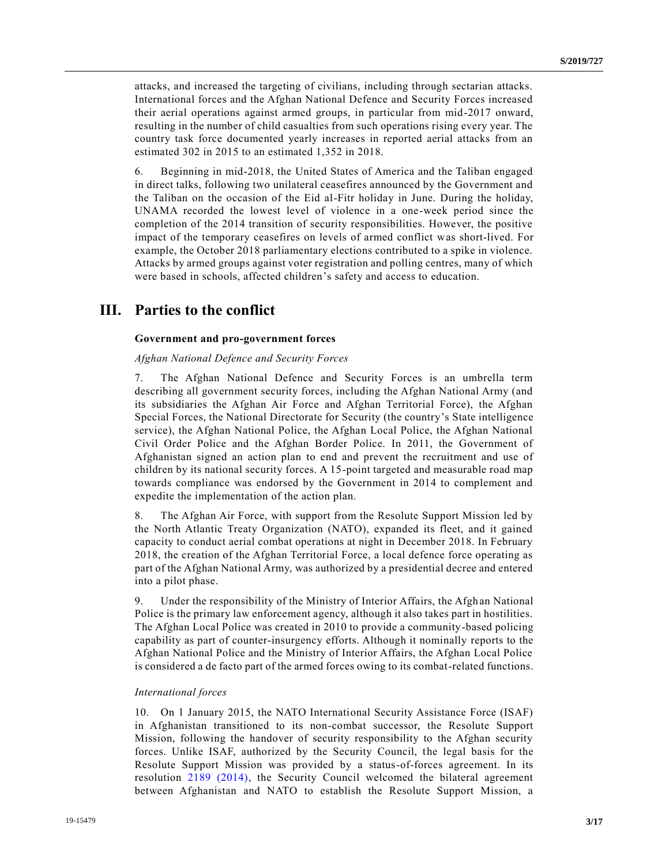attacks, and increased the targeting of civilians, including through sectarian attacks. International forces and the Afghan National Defence and Security Forces increased their aerial operations against armed groups, in particular from mid-2017 onward, resulting in the number of child casualties from such operations rising every year. The country task force documented yearly increases in reported aerial attacks from an estimated 302 in 2015 to an estimated 1,352 in 2018.

6. Beginning in mid-2018, the United States of America and the Taliban engaged in direct talks, following two unilateral ceasefires announced by the Government and the Taliban on the occasion of the Eid al-Fitr holiday in June. During the holiday, UNAMA recorded the lowest level of violence in a one-week period since the completion of the 2014 transition of security responsibilities. However, the positive impact of the temporary ceasefires on levels of armed conflict was short-lived. For example, the October 2018 parliamentary elections contributed to a spike in violence. Attacks by armed groups against voter registration and polling centres, many of which were based in schools, affected children's safety and access to education.

## **III. Parties to the conflict**

#### **Government and pro-government forces**

### *Afghan National Defence and Security Forces*

7. The Afghan National Defence and Security Forces is an umbrella term describing all government security forces, including the Afghan National Army (and its subsidiaries the Afghan Air Force and Afghan Territorial Force), the Afghan Special Forces, the National Directorate for Security (the country's State intelligence service), the Afghan National Police, the Afghan Local Police, the Afghan National Civil Order Police and the Afghan Border Police. In 2011, the Government of Afghanistan signed an action plan to end and prevent the recruitment and use of children by its national security forces. A 15-point targeted and measurable road map towards compliance was endorsed by the Government in 2014 to complement and expedite the implementation of the action plan.

8. The Afghan Air Force, with support from the Resolute Support Mission led by the North Atlantic Treaty Organization (NATO), expanded its fleet, and it gained capacity to conduct aerial combat operations at night in December 2018. In February 2018, the creation of the Afghan Territorial Force, a local defence force operating as part of the Afghan National Army, was authorized by a presidential decree and entered into a pilot phase.

9. Under the responsibility of the Ministry of Interior Affairs, the Afghan National Police is the primary law enforcement agency, although it also takes part in hostilities. The Afghan Local Police was created in 2010 to provide a community-based policing capability as part of counter-insurgency efforts. Although it nominally reports to the Afghan National Police and the Ministry of Interior Affairs, the Afghan Local Police is considered a de facto part of the armed forces owing to its combat-related functions.

#### *International forces*

10. On 1 January 2015, the NATO International Security Assistance Force (ISAF) in Afghanistan transitioned to its non-combat successor, the Resolute Support Mission, following the handover of security responsibility to the Afghan security forces. Unlike ISAF, authorized by the Security Council, the legal basis for the Resolute Support Mission was provided by a status-of-forces agreement. In its resolution [2189 \(2014\),](https://undocs.org/en/S/RES/2189%20(2014)) the Security Council welcomed the bilateral agreement between Afghanistan and NATO to establish the Resolute Support Mission, a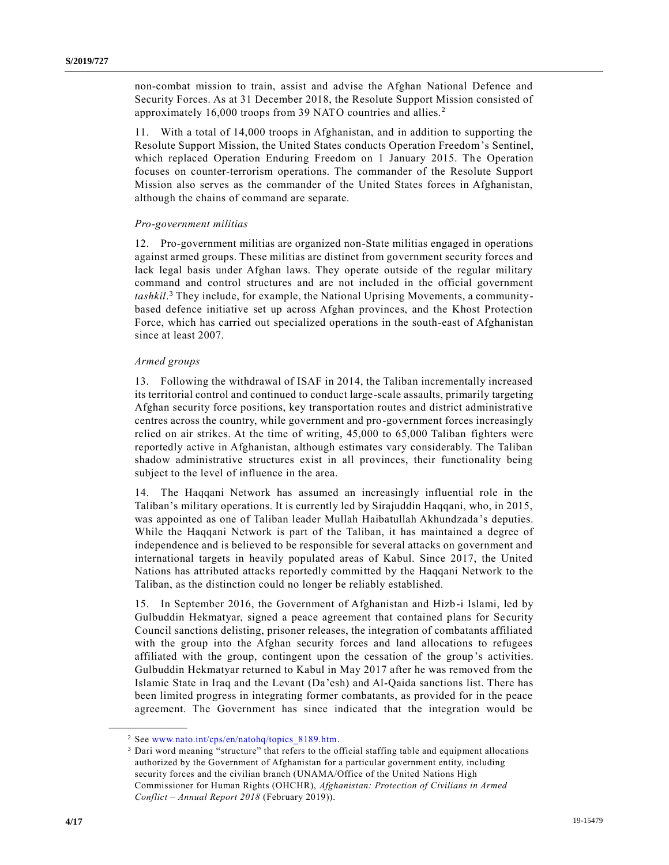non-combat mission to train, assist and advise the Afghan National Defence and Security Forces. As at 31 December 2018, the Resolute Support Mission consisted of approximately 16,000 troops from 39 NATO countries and allies.<sup>2</sup>

11. With a total of 14,000 troops in Afghanistan, and in addition to supporting the Resolute Support Mission, the United States conducts Operation Freedom's Sentinel, which replaced Operation Enduring Freedom on 1 January 2015. The Operation focuses on counter-terrorism operations. The commander of the Resolute Support Mission also serves as the commander of the United States forces in Afghanistan, although the chains of command are separate.

#### *Pro-government militias*

12. Pro-government militias are organized non-State militias engaged in operations against armed groups. These militias are distinct from government security forces and lack legal basis under Afghan laws. They operate outside of the regular military command and control structures and are not included in the official government *tashkil*. <sup>3</sup> They include, for example, the National Uprising Movements, a communitybased defence initiative set up across Afghan provinces, and the Khost Protection Force, which has carried out specialized operations in the south-east of Afghanistan since at least 2007.

#### *Armed groups*

13. Following the withdrawal of ISAF in 2014, the Taliban incrementally increased its territorial control and continued to conduct large-scale assaults, primarily targeting Afghan security force positions, key transportation routes and district administrative centres across the country, while government and pro-government forces increasingly relied on air strikes. At the time of writing, 45,000 to 65,000 Taliban fighters were reportedly active in Afghanistan, although estimates vary considerably. The Taliban shadow administrative structures exist in all provinces, their functionality being subject to the level of influence in the area.

14. The Haqqani Network has assumed an increasingly influential role in the Taliban's military operations. It is currently led by Sirajuddin Haqqani, who, in 2015, was appointed as one of Taliban leader Mullah Haibatullah Akhundzada 's deputies. While the Haqqani Network is part of the Taliban, it has maintained a degree of independence and is believed to be responsible for several attacks on government and international targets in heavily populated areas of Kabul. Since 2017, the United Nations has attributed attacks reportedly committed by the Haqqani Network to the Taliban, as the distinction could no longer be reliably established.

15. In September 2016, the Government of Afghanistan and Hizb-i Islami, led by Gulbuddin Hekmatyar, signed a peace agreement that contained plans for Se curity Council sanctions delisting, prisoner releases, the integration of combatants affiliated with the group into the Afghan security forces and land allocations to refugees affiliated with the group, contingent upon the cessation of the group's activities. Gulbuddin Hekmatyar returned to Kabul in May 2017 after he was removed from the Islamic State in Iraq and the Levant (Da'esh) and Al-Qaida sanctions list. There has been limited progress in integrating former combatants, as provided for in the peace agreement. The Government has since indicated that the integration would be

<sup>2</sup> See [www.nato.int/cps/en/natohq/topics\\_8189.htm.](http://www.nato.int/cps/en/natohq/topics_8189.htm)

<sup>&</sup>lt;sup>3</sup> Dari word meaning "structure" that refers to the official staffing table and equipment allocations authorized by the Government of Afghanistan for a particular government entity, including security forces and the civilian branch (UNAMA/Office of the United Nations High Commissioner for Human Rights (OHCHR), *Afghanistan: Protection of Civilians in Armed Conflict – Annual Report 2018* (February 2019)).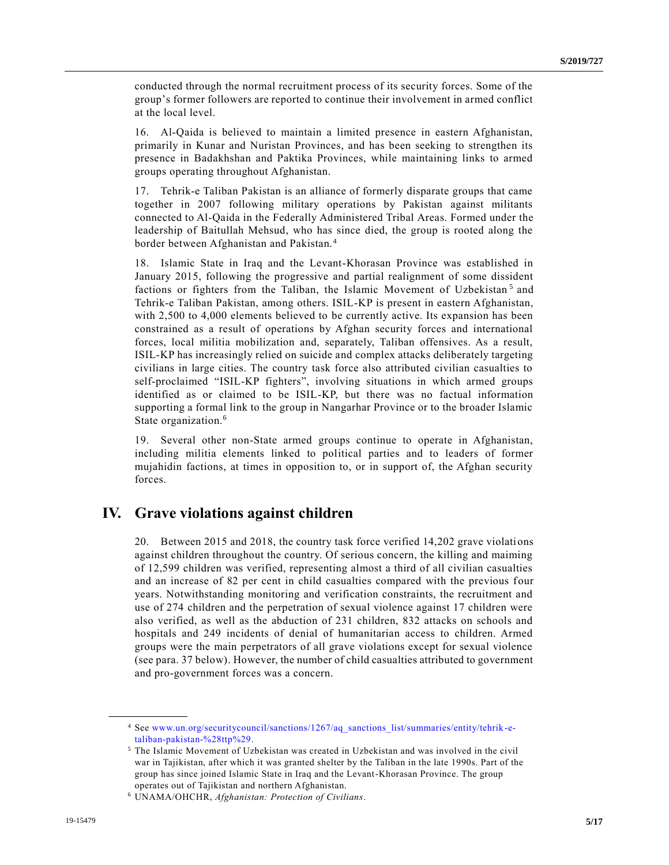conducted through the normal recruitment process of its security forces. Some of the group's former followers are reported to continue their involvement in armed conflict at the local level.

16. Al-Qaida is believed to maintain a limited presence in eastern Afghanistan, primarily in Kunar and Nuristan Provinces, and has been seeking to strengthen its presence in Badakhshan and Paktika Provinces, while maintaining links to armed groups operating throughout Afghanistan.

17. Tehrik-e Taliban Pakistan is an alliance of formerly disparate groups that came together in 2007 following military operations by Pakistan against militants connected to Al-Qaida in the Federally Administered Tribal Areas. Formed under the leadership of Baitullah Mehsud, who has since died, the group is rooted along the border between Afghanistan and Pakistan. <sup>4</sup>

18. Islamic State in Iraq and the Levant-Khorasan Province was established in January 2015, following the progressive and partial realignment of some dissident factions or fighters from the Taliban, the Islamic Movement of Uzbekistan<sup>5</sup> and Tehrik-e Taliban Pakistan, among others. ISIL-KP is present in eastern Afghanistan, with 2,500 to 4,000 elements believed to be currently active. Its expansion has been constrained as a result of operations by Afghan security forces and international forces, local militia mobilization and, separately, Taliban offensives. As a result, ISIL-KP has increasingly relied on suicide and complex attacks deliberately targeting civilians in large cities. The country task force also attributed civilian casualties to self-proclaimed "ISIL-KP fighters", involving situations in which armed groups identified as or claimed to be ISIL-KP, but there was no factual information supporting a formal link to the group in Nangarhar Province or to the broader Islamic State organization.<sup>6</sup>

19. Several other non-State armed groups continue to operate in Afghanistan, including militia elements linked to political parties and to leaders of former mujahidin factions, at times in opposition to, or in support of, the Afghan security forces.

## **IV. Grave violations against children**

20. Between 2015 and 2018, the country task force verified 14,202 grave violations against children throughout the country. Of serious concern, the killing and maiming of 12,599 children was verified, representing almost a third of all civilian casualties and an increase of 82 per cent in child casualties compared with the previous four years. Notwithstanding monitoring and verification constraints, the recruitment and use of 274 children and the perpetration of sexual violence against 17 children were also verified, as well as the abduction of 231 children, 832 attacks on schools and hospitals and 249 incidents of denial of humanitarian access to children. Armed groups were the main perpetrators of all grave violations except for sexual violence (see para. 37 below). However, the number of child casualties attributed to government and pro-government forces was a concern.

<sup>&</sup>lt;sup>4</sup> See [www.un.org/securitycouncil/sanctions/1267/aq\\_sanctions\\_list/summaries/entity/tehrik-e](http://www.un.org/securitycouncil/sanctions/1267/aq_sanctions_list/summaries/entity/tehrik-e-taliban-pakistan-%28ttp%29)[taliban-pakistan-%28ttp%29.](http://www.un.org/securitycouncil/sanctions/1267/aq_sanctions_list/summaries/entity/tehrik-e-taliban-pakistan-%28ttp%29)

<sup>5</sup> The Islamic Movement of Uzbekistan was created in Uzbekistan and was involved in the civil war in Tajikistan, after which it was granted shelter by the Taliban in the late 1990s. Part of the group has since joined Islamic State in Iraq and the Levant-Khorasan Province. The group operates out of Tajikistan and northern Afghanistan.

<sup>6</sup> UNAMA/OHCHR, *Afghanistan: Protection of Civilians*.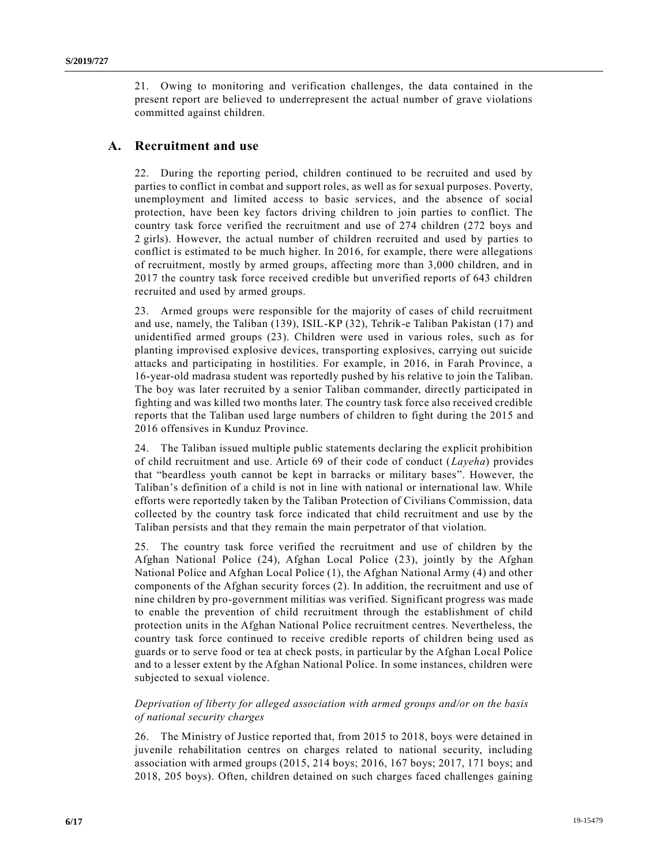21. Owing to monitoring and verification challenges, the data contained in the present report are believed to underrepresent the actual number of grave violations committed against children.

## **A. Recruitment and use**

22. During the reporting period, children continued to be recruited and used by parties to conflict in combat and support roles, as well as for sexual purposes. Poverty, unemployment and limited access to basic services, and the absence of social protection, have been key factors driving children to join parties to conflict. The country task force verified the recruitment and use of 274 children (272 boys and 2 girls). However, the actual number of children recruited and used by parties to conflict is estimated to be much higher. In 2016, for example, there were allegations of recruitment, mostly by armed groups, affecting more than 3,000 children, and in 2017 the country task force received credible but unverified reports of 643 children recruited and used by armed groups.

23. Armed groups were responsible for the majority of cases of child recruitment and use, namely, the Taliban (139), ISIL-KP (32), Tehrik-e Taliban Pakistan (17) and unidentified armed groups (23). Children were used in various roles, such as for planting improvised explosive devices, transporting explosives, carrying out suicide attacks and participating in hostilities. For example, in 2016, in Farah Province, a 16-year-old madrasa student was reportedly pushed by his relative to join the Taliban. The boy was later recruited by a senior Taliban commander, directly participated in fighting and was killed two months later. The country task force also received credible reports that the Taliban used large numbers of children to fight during the 2015 and 2016 offensives in Kunduz Province.

24. The Taliban issued multiple public statements declaring the explicit prohibition of child recruitment and use. Article 69 of their code of conduct (*Layeha*) provides that "beardless youth cannot be kept in barracks or military bases". However, the Taliban's definition of a child is not in line with national or international law. While efforts were reportedly taken by the Taliban Protection of Civilians Commission, data collected by the country task force indicated that child recruitment and use by the Taliban persists and that they remain the main perpetrator of that violation.

25. The country task force verified the recruitment and use of children by the Afghan National Police (24), Afghan Local Police (23), jointly by the Afghan National Police and Afghan Local Police (1), the Afghan National Army (4) and other components of the Afghan security forces (2). In addition, the recruitment and use of nine children by pro-government militias was verified. Significant progress was made to enable the prevention of child recruitment through the establishment of child protection units in the Afghan National Police recruitment centres. Nevertheless, the country task force continued to receive credible reports of children being used as guards or to serve food or tea at check posts, in particular by the Afghan Local Police and to a lesser extent by the Afghan National Police. In some instances, children were subjected to sexual violence.

### *Deprivation of liberty for alleged association with armed groups and/or on the basis of national security charges*

26. The Ministry of Justice reported that, from 2015 to 2018, boys were detained in juvenile rehabilitation centres on charges related to national security, including association with armed groups (2015, 214 boys; 2016, 167 boys; 2017, 171 boys; and 2018, 205 boys). Often, children detained on such charges faced challenges gaining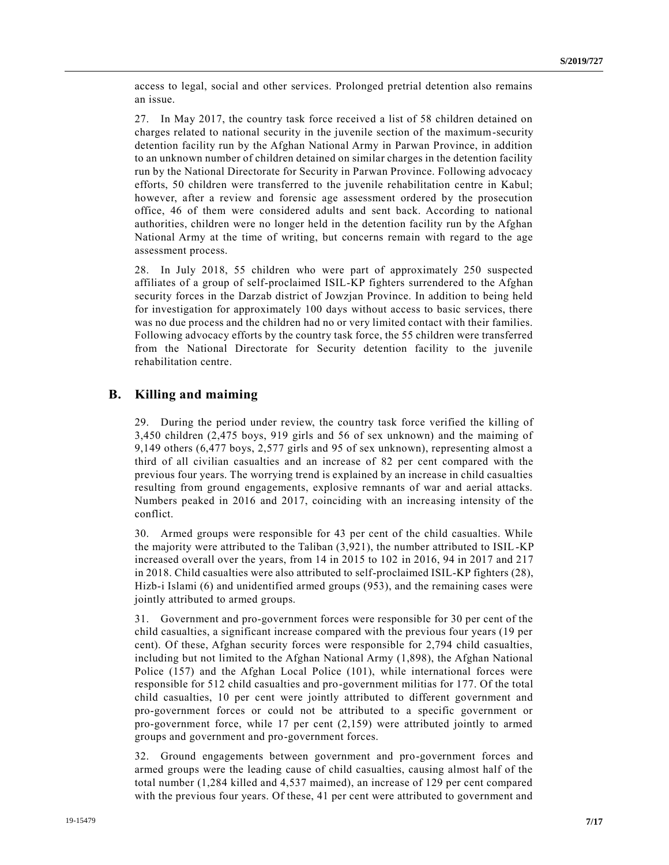access to legal, social and other services. Prolonged pretrial detention also remains an issue.

27. In May 2017, the country task force received a list of 58 children detained on charges related to national security in the juvenile section of the maximum-security detention facility run by the Afghan National Army in Parwan Province, in addition to an unknown number of children detained on similar charges in the detention facility run by the National Directorate for Security in Parwan Province. Following advocacy efforts, 50 children were transferred to the juvenile rehabilitation centre in Kabul; however, after a review and forensic age assessment ordered by the prosecution office, 46 of them were considered adults and sent back. According to national authorities, children were no longer held in the detention facility run by the Afghan National Army at the time of writing, but concerns remain with regard to the age assessment process.

28. In July 2018, 55 children who were part of approximately 250 suspected affiliates of a group of self-proclaimed ISIL-KP fighters surrendered to the Afghan security forces in the Darzab district of Jowzjan Province. In addition to being held for investigation for approximately 100 days without access to basic services, there was no due process and the children had no or very limited contact with their families. Following advocacy efforts by the country task force, the 55 children were transferred from the National Directorate for Security detention facility to the juvenile rehabilitation centre.

## **B. Killing and maiming**

29. During the period under review, the country task force verified the killing of 3,450 children (2,475 boys, 919 girls and 56 of sex unknown) and the maiming of 9,149 others (6,477 boys, 2,577 girls and 95 of sex unknown), representing almost a third of all civilian casualties and an increase of 82 per cent compared with the previous four years. The worrying trend is explained by an increase in child casualties resulting from ground engagements, explosive remnants of war and aerial attacks. Numbers peaked in 2016 and 2017, coinciding with an increasing intensity of the conflict.

30. Armed groups were responsible for 43 per cent of the child casualties. While the majority were attributed to the Taliban (3,921), the number attributed to ISIL-KP increased overall over the years, from 14 in 2015 to 102 in 2016, 94 in 2017 and 217 in 2018. Child casualties were also attributed to self-proclaimed ISIL-KP fighters (28), Hizb-i Islami (6) and unidentified armed groups (953), and the remaining cases were jointly attributed to armed groups.

31. Government and pro-government forces were responsible for 30 per cent of the child casualties, a significant increase compared with the previous four years (19 per cent). Of these, Afghan security forces were responsible for 2,794 child casualties, including but not limited to the Afghan National Army (1,898), the Afghan National Police (157) and the Afghan Local Police (101), while international forces were responsible for 512 child casualties and pro-government militias for 177. Of the total child casualties, 10 per cent were jointly attributed to different government and pro-government forces or could not be attributed to a specific government or pro-government force, while 17 per cent (2,159) were attributed jointly to armed groups and government and pro-government forces.

32. Ground engagements between government and pro-government forces and armed groups were the leading cause of child casualties, causing almost half of the total number (1,284 killed and 4,537 maimed), an increase of 129 per cent compared with the previous four years. Of these, 41 per cent were attributed to government and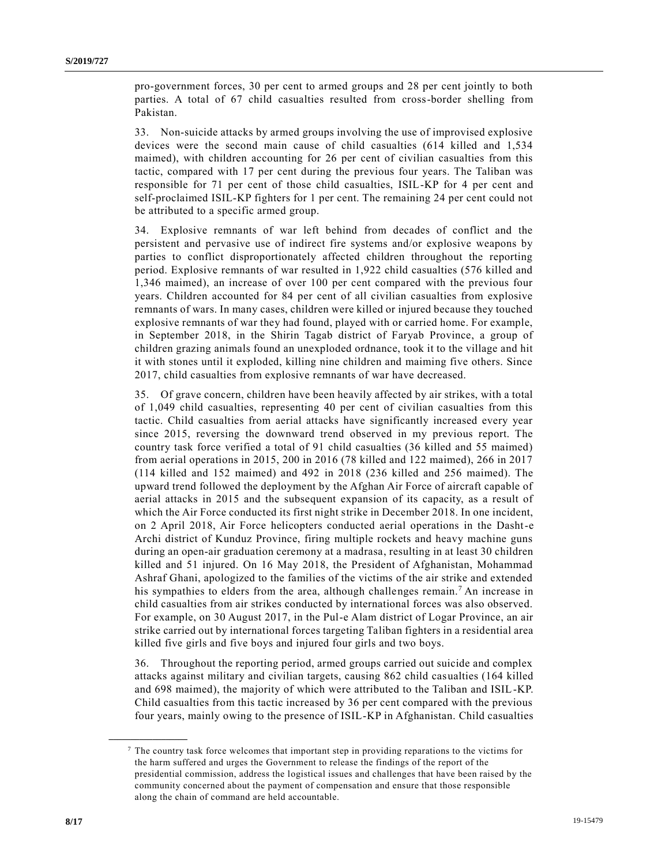pro-government forces, 30 per cent to armed groups and 28 per cent jointly to both parties. A total of 67 child casualties resulted from cross-border shelling from Pakistan.

33. Non-suicide attacks by armed groups involving the use of improvised explosive devices were the second main cause of child casualties (614 killed and 1,534 maimed), with children accounting for 26 per cent of civilian casualties from this tactic, compared with 17 per cent during the previous four years. The Taliban was responsible for 71 per cent of those child casualties, ISIL-KP for 4 per cent and self-proclaimed ISIL-KP fighters for 1 per cent. The remaining 24 per cent could not be attributed to a specific armed group.

34. Explosive remnants of war left behind from decades of conflict and the persistent and pervasive use of indirect fire systems and/or explosive weapons by parties to conflict disproportionately affected children throughout the reporting period. Explosive remnants of war resulted in 1,922 child casualties (576 killed and 1,346 maimed), an increase of over 100 per cent compared with the previous four years. Children accounted for 84 per cent of all civilian casualties from explosive remnants of wars. In many cases, children were killed or injured because they touched explosive remnants of war they had found, played with or carried home. For example, in September 2018, in the Shirin Tagab district of Faryab Province, a group of children grazing animals found an unexploded ordnance, took it to the village and hit it with stones until it exploded, killing nine children and maiming five others. Since 2017, child casualties from explosive remnants of war have decreased.

35. Of grave concern, children have been heavily affected by air strikes, with a total of 1,049 child casualties, representing 40 per cent of civilian casualties from this tactic. Child casualties from aerial attacks have significantly increased every year since 2015, reversing the downward trend observed in my previous report. The country task force verified a total of 91 child casualties (36 killed and 55 maimed) from aerial operations in 2015, 200 in 2016 (78 killed and 122 maimed), 266 in 2017 (114 killed and 152 maimed) and 492 in 2018 (236 killed and 256 maimed). The upward trend followed the deployment by the Afghan Air Force of aircraft capable of aerial attacks in 2015 and the subsequent expansion of its capacity, as a result of which the Air Force conducted its first night strike in December 2018. In one incident, on 2 April 2018, Air Force helicopters conducted aerial operations in the Dasht-e Archi district of Kunduz Province, firing multiple rockets and heavy machine guns during an open-air graduation ceremony at a madrasa, resulting in at least 30 children killed and 51 injured. On 16 May 2018, the President of Afghanistan, Mohammad Ashraf Ghani, apologized to the families of the victims of the air strike and extended his sympathies to elders from the area, although challenges remain.<sup>7</sup> An increase in child casualties from air strikes conducted by international forces was also observed. For example, on 30 August 2017, in the Pul-e Alam district of Logar Province, an air strike carried out by international forces targeting Taliban fighters in a residential area killed five girls and five boys and injured four girls and two boys.

36. Throughout the reporting period, armed groups carried out suicide and complex attacks against military and civilian targets, causing 862 child casualties (164 killed and 698 maimed), the majority of which were attributed to the Taliban and ISIL-KP. Child casualties from this tactic increased by 36 per cent compared with the previous four years, mainly owing to the presence of ISIL-KP in Afghanistan. Child casualties

<sup>7</sup> The country task force welcomes that important step in providing reparations to the victims for the harm suffered and urges the Government to release the findings of the report of the presidential commission, address the logistical issues and challenges that have been raised by the community concerned about the payment of compensation and ensure that those responsible along the chain of command are held accountable.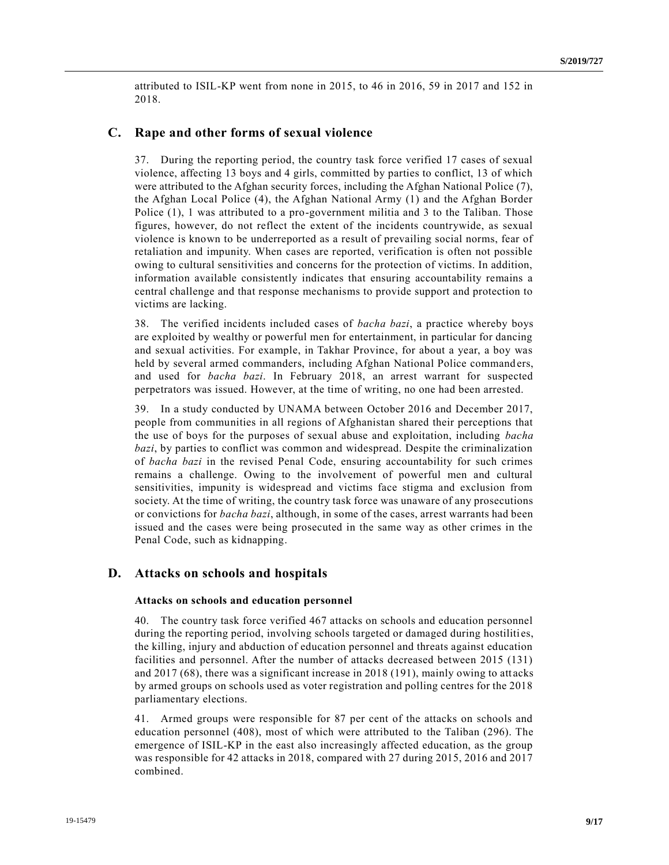attributed to ISIL-KP went from none in 2015, to 46 in 2016, 59 in 2017 and 152 in 2018.

### **C. Rape and other forms of sexual violence**

37. During the reporting period, the country task force verified 17 cases of sexual violence, affecting 13 boys and 4 girls, committed by parties to conflict, 13 of which were attributed to the Afghan security forces, including the Afghan National Police (7), the Afghan Local Police (4), the Afghan National Army (1) and the Afghan Border Police (1), 1 was attributed to a pro-government militia and 3 to the Taliban. Those figures, however, do not reflect the extent of the incidents countrywide, as sexual violence is known to be underreported as a result of prevailing social norms, fear of retaliation and impunity. When cases are reported, verification is often not possible owing to cultural sensitivities and concerns for the protection of victims. In addition, information available consistently indicates that ensuring accountability remains a central challenge and that response mechanisms to provide support and protection to victims are lacking.

38. The verified incidents included cases of *bacha bazi*, a practice whereby boys are exploited by wealthy or powerful men for entertainment, in particular for dancing and sexual activities. For example, in Takhar Province, for about a year, a boy was held by several armed commanders, including Afghan National Police command ers, and used for *bacha bazi*. In February 2018, an arrest warrant for suspected perpetrators was issued. However, at the time of writing, no one had been arrested.

39. In a study conducted by UNAMA between October 2016 and December 2017, people from communities in all regions of Afghanistan shared their perceptions that the use of boys for the purposes of sexual abuse and exploitation, including *bacha bazi*, by parties to conflict was common and widespread. Despite the criminalization of *bacha bazi* in the revised Penal Code, ensuring accountability for such crimes remains a challenge. Owing to the involvement of powerful men and cultural sensitivities, impunity is widespread and victims face stigma and exclusion from society. At the time of writing, the country task force was unaware of any prosecutions or convictions for *bacha bazi*, although, in some of the cases, arrest warrants had been issued and the cases were being prosecuted in the same way as other crimes in the Penal Code, such as kidnapping.

### **D. Attacks on schools and hospitals**

#### **Attacks on schools and education personnel**

40. The country task force verified 467 attacks on schools and education personnel during the reporting period, involving schools targeted or damaged during hostilities, the killing, injury and abduction of education personnel and threats against education facilities and personnel. After the number of attacks decreased between 2015 (131) and  $2017 (68)$ , there was a significant increase in  $2018 (191)$ , mainly owing to attacks by armed groups on schools used as voter registration and polling centres for the 2018 parliamentary elections.

41. Armed groups were responsible for 87 per cent of the attacks on schools and education personnel (408), most of which were attributed to the Taliban (296). The emergence of ISIL-KP in the east also increasingly affected education, as the group was responsible for 42 attacks in 2018, compared with 27 during 2015, 2016 and 2017 combined.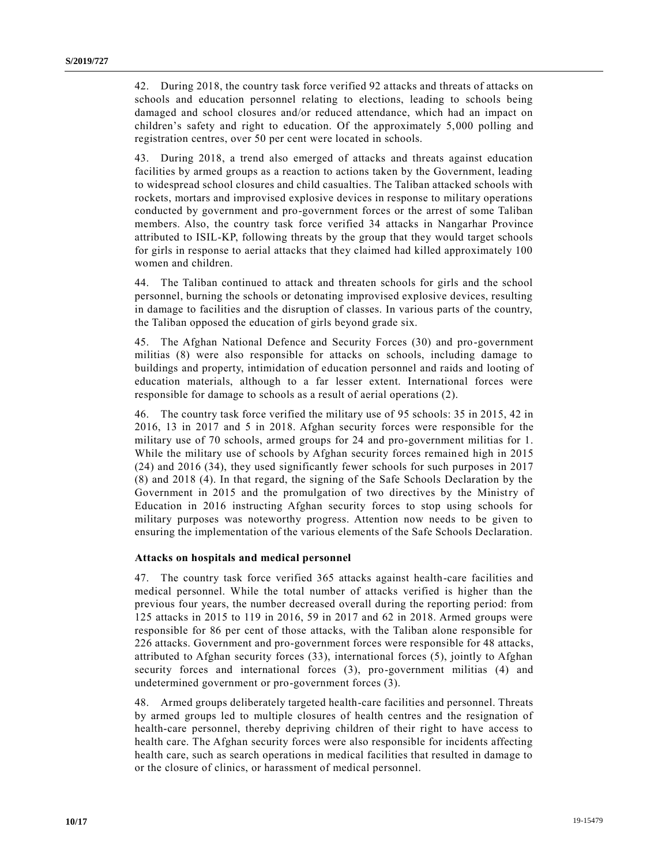42. During 2018, the country task force verified 92 attacks and threats of attacks on schools and education personnel relating to elections, leading to schools being damaged and school closures and/or reduced attendance, which had an impact on children's safety and right to education. Of the approximately 5,000 polling and registration centres, over 50 per cent were located in schools.

43. During 2018, a trend also emerged of attacks and threats against education facilities by armed groups as a reaction to actions taken by the Government, leading to widespread school closures and child casualties. The Taliban attacked schools with rockets, mortars and improvised explosive devices in response to military operations conducted by government and pro-government forces or the arrest of some Taliban members. Also, the country task force verified 34 attacks in Nangarhar Province attributed to ISIL-KP, following threats by the group that they would target schools for girls in response to aerial attacks that they claimed had killed approximately 100 women and children.

44. The Taliban continued to attack and threaten schools for girls and the school personnel, burning the schools or detonating improvised explosive devices, resulting in damage to facilities and the disruption of classes. In various parts of the country, the Taliban opposed the education of girls beyond grade six.

45. The Afghan National Defence and Security Forces (30) and pro-government militias (8) were also responsible for attacks on schools, including damage to buildings and property, intimidation of education personnel and raids and looting of education materials, although to a far lesser extent. International forces were responsible for damage to schools as a result of aerial operations (2).

46. The country task force verified the military use of 95 schools: 35 in 2015, 42 in 2016, 13 in 2017 and 5 in 2018. Afghan security forces were responsible for the military use of 70 schools, armed groups for 24 and pro-government militias for 1. While the military use of schools by Afghan security forces remained high in 2015 (24) and 2016 (34), they used significantly fewer schools for such purposes in 2017 (8) and 2018 (4). In that regard, the signing of the Safe Schools Declaration by the Government in 2015 and the promulgation of two directives by the Ministry of Education in 2016 instructing Afghan security forces to stop using schools for military purposes was noteworthy progress. Attention now needs to be given to ensuring the implementation of the various elements of the Safe Schools Declaration.

#### **Attacks on hospitals and medical personnel**

47. The country task force verified 365 attacks against health-care facilities and medical personnel. While the total number of attacks verified is higher than the previous four years, the number decreased overall during the reporting period: from 125 attacks in 2015 to 119 in 2016, 59 in 2017 and 62 in 2018. Armed groups were responsible for 86 per cent of those attacks, with the Taliban alone responsible for 226 attacks. Government and pro-government forces were responsible for 48 attacks, attributed to Afghan security forces (33), international forces (5), jointly to Afghan security forces and international forces (3), pro-government militias (4) and undetermined government or pro-government forces (3).

48. Armed groups deliberately targeted health-care facilities and personnel. Threats by armed groups led to multiple closures of health centres and the resignation of health-care personnel, thereby depriving children of their right to have access to health care. The Afghan security forces were also responsible for incidents affecting health care, such as search operations in medical facilities that resulted in damage to or the closure of clinics, or harassment of medical personnel.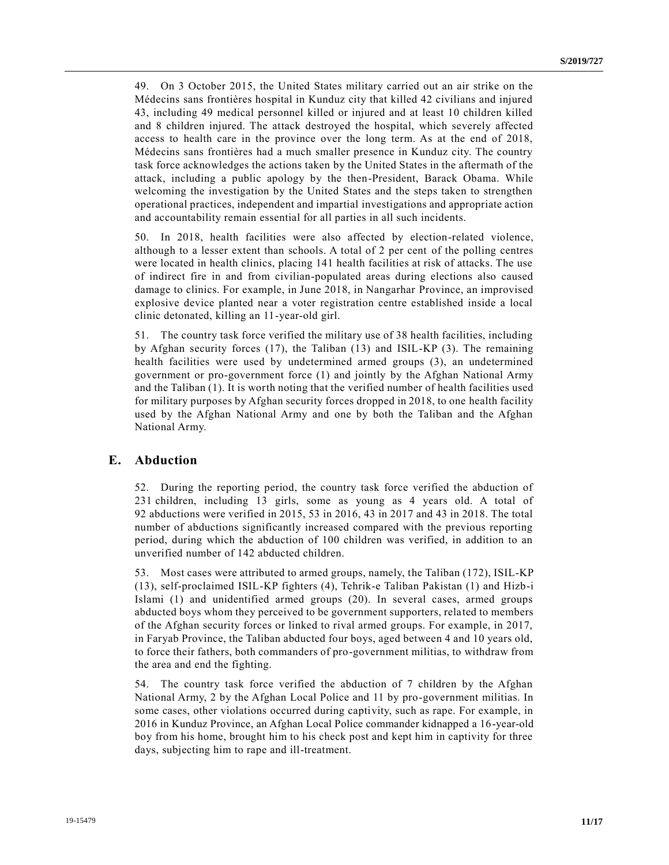49. On 3 October 2015, the United States military carried out an air strike on the Médecins sans frontières hospital in Kunduz city that killed 42 civilians and injured 43, including 49 medical personnel killed or injured and at least 10 children killed and 8 children injured. The attack destroyed the hospital, which severely affected access to health care in the province over the long term. As at the end of 2018, Médecins sans frontières had a much smaller presence in Kunduz city. The country task force acknowledges the actions taken by the United States in the aftermath of the attack, including a public apology by the then-President, Barack Obama. While welcoming the investigation by the United States and the steps taken to strengthen operational practices, independent and impartial investigations and appropriate action and accountability remain essential for all parties in all such incidents.

50. In 2018, health facilities were also affected by election-related violence, although to a lesser extent than schools. A total of 2 per cent of the polling centres were located in health clinics, placing 141 health facilities at risk of attacks. The use of indirect fire in and from civilian-populated areas during elections also caused damage to clinics. For example, in June 2018, in Nangarhar Province, an improvised explosive device planted near a voter registration centre established inside a local clinic detonated, killing an 11-year-old girl.

51. The country task force verified the military use of 38 health facilities, including by Afghan security forces (17), the Taliban (13) and ISIL-KP (3). The remaining health facilities were used by undetermined armed groups (3), an undetermined government or pro-government force (1) and jointly by the Afghan National Army and the Taliban (1). It is worth noting that the verified number of health facilities used for military purposes by Afghan security forces dropped in 2018, to one health facility used by the Afghan National Army and one by both the Taliban and the Afghan National Army.

## **E. Abduction**

52. During the reporting period, the country task force verified the abduction of 231 children, including 13 girls, some as young as 4 years old. A total of 92 abductions were verified in 2015, 53 in 2016, 43 in 2017 and 43 in 2018. The total number of abductions significantly increased compared with the previous reporting period, during which the abduction of 100 children was verified, in addition to an unverified number of 142 abducted children.

53. Most cases were attributed to armed groups, namely, the Taliban (172), ISIL-KP (13), self-proclaimed ISIL-KP fighters (4), Tehrik-e Taliban Pakistan (1) and Hizb-i Islami (1) and unidentified armed groups (20). In several cases, armed groups abducted boys whom they perceived to be government supporters, related to members of the Afghan security forces or linked to rival armed groups. For example, in 2017, in Faryab Province, the Taliban abducted four boys, aged between 4 and 10 years old, to force their fathers, both commanders of pro-government militias, to withdraw from the area and end the fighting.

54. The country task force verified the abduction of 7 children by the Afghan National Army, 2 by the Afghan Local Police and 11 by pro-government militias. In some cases, other violations occurred during captivity, such as rape. For example, in 2016 in Kunduz Province, an Afghan Local Police commander kidnapped a 16-year-old boy from his home, brought him to his check post and kept him in captivity for three days, subjecting him to rape and ill-treatment.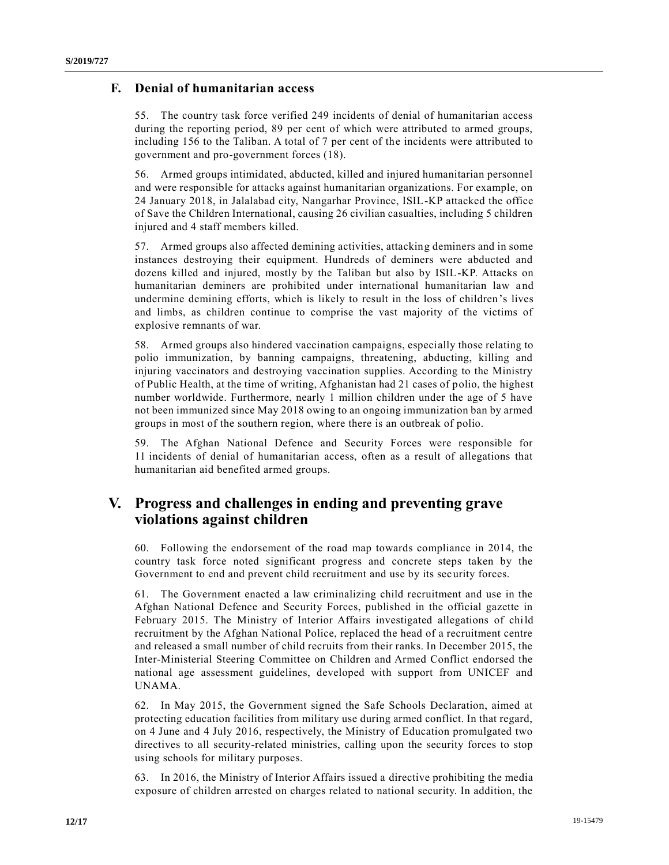## **F. Denial of humanitarian access**

55. The country task force verified 249 incidents of denial of humanitarian access during the reporting period, 89 per cent of which were attributed to armed groups, including 156 to the Taliban. A total of 7 per cent of the incidents were attributed to government and pro-government forces (18).

56. Armed groups intimidated, abducted, killed and injured humanitarian personnel and were responsible for attacks against humanitarian organizations. For example, on 24 January 2018, in Jalalabad city, Nangarhar Province, ISIL-KP attacked the office of Save the Children International, causing 26 civilian casualties, including 5 children injured and 4 staff members killed.

57. Armed groups also affected demining activities, attacking deminers and in some instances destroying their equipment. Hundreds of deminers were abducted and dozens killed and injured, mostly by the Taliban but also by ISIL-KP. Attacks on humanitarian deminers are prohibited under international humanitarian law a nd undermine demining efforts, which is likely to result in the loss of children's lives and limbs, as children continue to comprise the vast majority of the victims of explosive remnants of war.

58. Armed groups also hindered vaccination campaigns, especially those relating to polio immunization, by banning campaigns, threatening, abducting, killing and injuring vaccinators and destroying vaccination supplies. According to the Ministry of Public Health, at the time of writing, Afghanistan had 21 cases of polio, the highest number worldwide. Furthermore, nearly 1 million children under the age of 5 have not been immunized since May 2018 owing to an ongoing immunization ban by armed groups in most of the southern region, where there is an outbreak of polio.

59. The Afghan National Defence and Security Forces were responsible for 11 incidents of denial of humanitarian access, often as a result of allegations that humanitarian aid benefited armed groups.

# **V. Progress and challenges in ending and preventing grave violations against children**

60. Following the endorsement of the road map towards compliance in 2014, the country task force noted significant progress and concrete steps taken by the Government to end and prevent child recruitment and use by its security forces.

61. The Government enacted a law criminalizing child recruitment and use in the Afghan National Defence and Security Forces, published in the official gazette in February 2015. The Ministry of Interior Affairs investigated allegations of child recruitment by the Afghan National Police, replaced the head of a recruitment centre and released a small number of child recruits from their ranks. In December 2015, the Inter-Ministerial Steering Committee on Children and Armed Conflict endorsed the national age assessment guidelines, developed with support from UNICEF and UNAMA.

62. In May 2015, the Government signed the Safe Schools Declaration, aimed at protecting education facilities from military use during armed conflict. In that regard, on 4 June and 4 July 2016, respectively, the Ministry of Education promulgated two directives to all security-related ministries, calling upon the security forces to stop using schools for military purposes.

63. In 2016, the Ministry of Interior Affairs issued a directive prohibiting the media exposure of children arrested on charges related to national security. In addition, the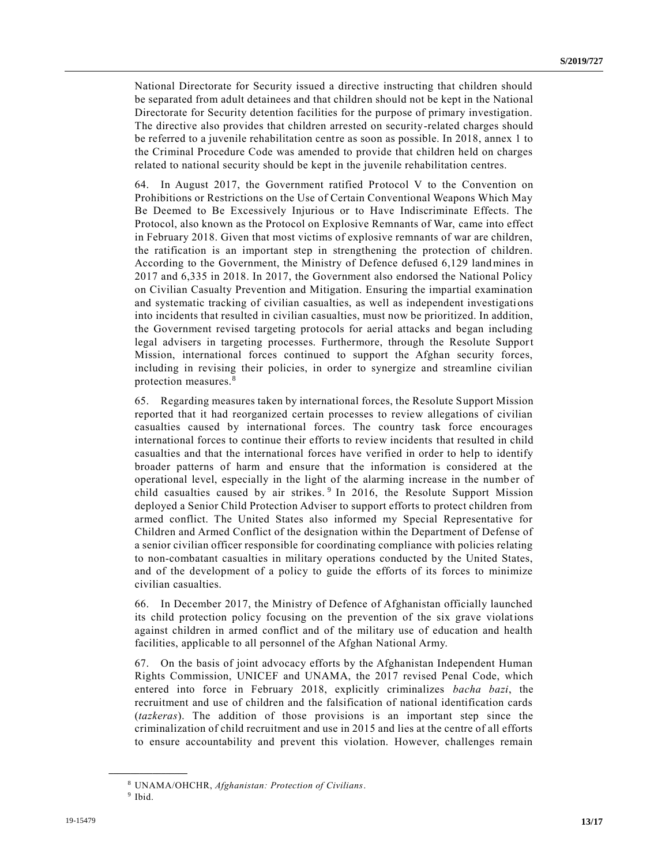National Directorate for Security issued a directive instructing that children should be separated from adult detainees and that children should not be kept in the National Directorate for Security detention facilities for the purpose of primary investigation. The directive also provides that children arrested on security-related charges should be referred to a juvenile rehabilitation centre as soon as possible. In 2018, annex 1 to the Criminal Procedure Code was amended to provide that children held on charges related to national security should be kept in the juvenile rehabilitation centres.

64. In August 2017, the Government ratified Protocol V to the Convention on Prohibitions or Restrictions on the Use of Certain Conventional Weapons Which May Be Deemed to Be Excessively Injurious or to Have Indiscriminate Effects. The Protocol, also known as the Protocol on Explosive Remnants of War, came into effect in February 2018. Given that most victims of explosive remnants of war are children, the ratification is an important step in strengthening the protection of children. According to the Government, the Ministry of Defence defused 6,129 landmines in 2017 and 6,335 in 2018. In 2017, the Government also endorsed the National Policy on Civilian Casualty Prevention and Mitigation. Ensuring the impartial examination and systematic tracking of civilian casualties, as well as independent investigations into incidents that resulted in civilian casualties, must now be prioritized. In addition, the Government revised targeting protocols for aerial attacks and began including legal advisers in targeting processes. Furthermore, through the Resolute Support Mission, international forces continued to support the Afghan security forces, including in revising their policies, in order to synergize and streamline civilian protection measures.<sup>8</sup>

65. Regarding measures taken by international forces, the Resolute Support Mission reported that it had reorganized certain processes to review allegations of civilian casualties caused by international forces. The country task force encourages international forces to continue their efforts to review incidents that resulted in child casualties and that the international forces have verified in order to help to identify broader patterns of harm and ensure that the information is considered at the operational level, especially in the light of the alarming increase in the numb er of child casualties caused by air strikes.  $9 \text{ In } 2016$ , the Resolute Support Mission deployed a Senior Child Protection Adviser to support efforts to protect children from armed conflict. The United States also informed my Special Representative for Children and Armed Conflict of the designation within the Department of Defense of a senior civilian officer responsible for coordinating compliance with policies relating to non-combatant casualties in military operations conducted by the United States, and of the development of a policy to guide the efforts of its forces to minimize civilian casualties.

66. In December 2017, the Ministry of Defence of Afghanistan officially launched its child protection policy focusing on the prevention of the six grave violations against children in armed conflict and of the military use of education and health facilities, applicable to all personnel of the Afghan National Army.

67. On the basis of joint advocacy efforts by the Afghanistan Independent Human Rights Commission, UNICEF and UNAMA, the 2017 revised Penal Code, which entered into force in February 2018, explicitly criminalizes *bacha bazi*, the recruitment and use of children and the falsification of national identification cards (*tazkeras*). The addition of those provisions is an important step since the criminalization of child recruitment and use in 2015 and lies at the centre of all efforts to ensure accountability and prevent this violation. However, challenges remain

<sup>8</sup> UNAMA/OHCHR, *Afghanistan: Protection of Civilians*.

<sup>9</sup> Ibid.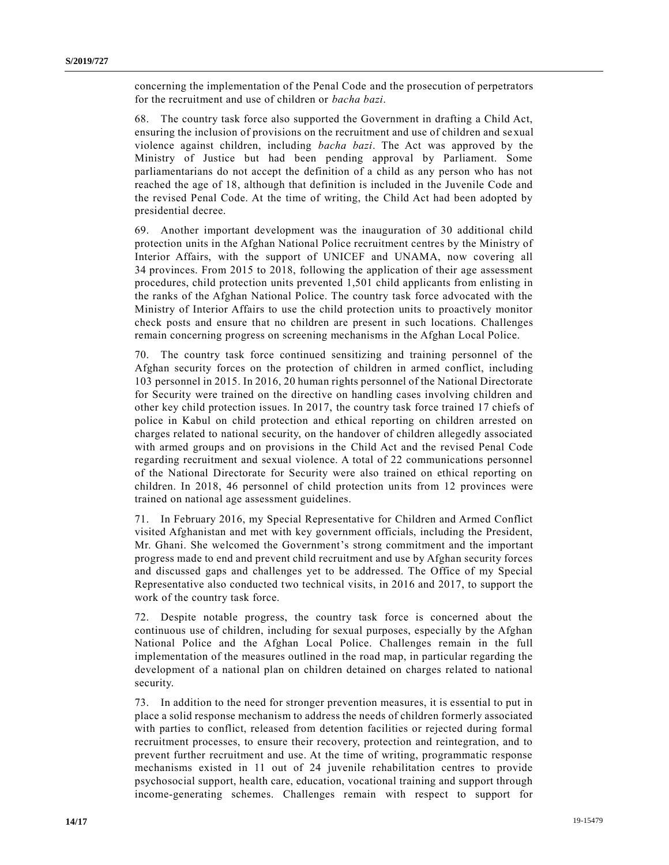concerning the implementation of the Penal Code and the prosecution of perpetrators for the recruitment and use of children or *bacha bazi*.

68. The country task force also supported the Government in drafting a Child Act, ensuring the inclusion of provisions on the recruitment and use of children and se xual violence against children, including *bacha bazi*. The Act was approved by the Ministry of Justice but had been pending approval by Parliament. Some parliamentarians do not accept the definition of a child as any person who has not reached the age of 18, although that definition is included in the Juvenile Code and the revised Penal Code. At the time of writing, the Child Act had been adopted by presidential decree.

69. Another important development was the inauguration of 30 additional child protection units in the Afghan National Police recruitment centres by the Ministry of Interior Affairs, with the support of UNICEF and UNAMA, now covering all 34 provinces. From 2015 to 2018, following the application of their age assessment procedures, child protection units prevented 1,501 child applicants from enlisting in the ranks of the Afghan National Police. The country task force advocated with the Ministry of Interior Affairs to use the child protection units to proactively monitor check posts and ensure that no children are present in such locations. Challenges remain concerning progress on screening mechanisms in the Afghan Local Police.

70. The country task force continued sensitizing and training personnel of the Afghan security forces on the protection of children in armed conflict, including 103 personnel in 2015. In 2016, 20 human rights personnel of the National Directorate for Security were trained on the directive on handling cases involving children and other key child protection issues. In 2017, the country task force trained 17 chiefs of police in Kabul on child protection and ethical reporting on children arrested on charges related to national security, on the handover of children allegedly associated with armed groups and on provisions in the Child Act and the revised Penal Code regarding recruitment and sexual violence. A total of 22 communications personnel of the National Directorate for Security were also trained on ethical reporting on children. In 2018, 46 personnel of child protection units from 12 provinces were trained on national age assessment guidelines.

71. In February 2016, my Special Representative for Children and Armed Conflict visited Afghanistan and met with key government officials, including the President, Mr. Ghani. She welcomed the Government's strong commitment and the important progress made to end and prevent child recruitment and use by Afghan security forces and discussed gaps and challenges yet to be addressed. The Office of my Special Representative also conducted two technical visits, in 2016 and 2017, to support the work of the country task force.

72. Despite notable progress, the country task force is concerned about the continuous use of children, including for sexual purposes, especially by the Afghan National Police and the Afghan Local Police. Challenges remain in the full implementation of the measures outlined in the road map, in particular regarding the development of a national plan on children detained on charges related to national security.

73. In addition to the need for stronger prevention measures, it is essential to put in place a solid response mechanism to address the needs of children formerly associated with parties to conflict, released from detention facilities or rejected during formal recruitment processes, to ensure their recovery, protection and reintegration, and to prevent further recruitment and use. At the time of writing, programmatic response mechanisms existed in 11 out of 24 juvenile rehabilitation centres to provide psychosocial support, health care, education, vocational training and support through income-generating schemes. Challenges remain with respect to support for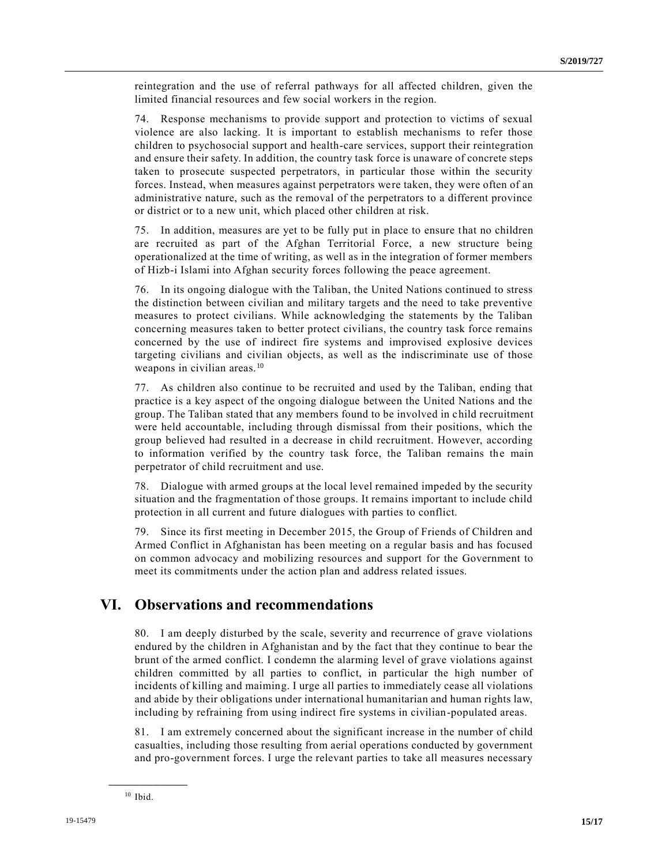reintegration and the use of referral pathways for all affected children, given the limited financial resources and few social workers in the region.

74. Response mechanisms to provide support and protection to victims of sexual violence are also lacking. It is important to establish mechanisms to refer those children to psychosocial support and health-care services, support their reintegration and ensure their safety. In addition, the country task force is unaware of concrete steps taken to prosecute suspected perpetrators, in particular those within the security forces. Instead, when measures against perpetrators were taken, they were often of an administrative nature, such as the removal of the perpetrators to a different province or district or to a new unit, which placed other children at risk.

75. In addition, measures are yet to be fully put in place to ensure that no children are recruited as part of the Afghan Territorial Force, a new structure being operationalized at the time of writing, as well as in the integration of former members of Hizb-i Islami into Afghan security forces following the peace agreement.

76. In its ongoing dialogue with the Taliban, the United Nations continued to stress the distinction between civilian and military targets and the need to take preventive measures to protect civilians. While acknowledging the statements by the Taliban concerning measures taken to better protect civilians, the country task force remains concerned by the use of indirect fire systems and improvised explosive devices targeting civilians and civilian objects, as well as the indiscriminate use of those weapons in civilian areas.<sup>10</sup>

77. As children also continue to be recruited and used by the Taliban, ending that practice is a key aspect of the ongoing dialogue between the United Nations and the group. The Taliban stated that any members found to be involved in child recruitment were held accountable, including through dismissal from their positions, which the group believed had resulted in a decrease in child recruitment. However, according to information verified by the country task force, the Taliban remains the main perpetrator of child recruitment and use.

78. Dialogue with armed groups at the local level remained impeded by the security situation and the fragmentation of those groups. It remains important to include child protection in all current and future dialogues with parties to conflict.

79. Since its first meeting in December 2015, the Group of Friends of Children and Armed Conflict in Afghanistan has been meeting on a regular basis and has focused on common advocacy and mobilizing resources and support for the Government to meet its commitments under the action plan and address related issues.

## **VI. Observations and recommendations**

80. I am deeply disturbed by the scale, severity and recurrence of grave violations endured by the children in Afghanistan and by the fact that they continue to bear the brunt of the armed conflict. I condemn the alarming level of grave violations against children committed by all parties to conflict, in particular the high number of incidents of killing and maiming. I urge all parties to immediately cease all violations and abide by their obligations under international humanitarian and human rights law, including by refraining from using indirect fire systems in civilian-populated areas.

81. I am extremely concerned about the significant increase in the number of child casualties, including those resulting from aerial operations conducted by government and pro-government forces. I urge the relevant parties to take all measures necessary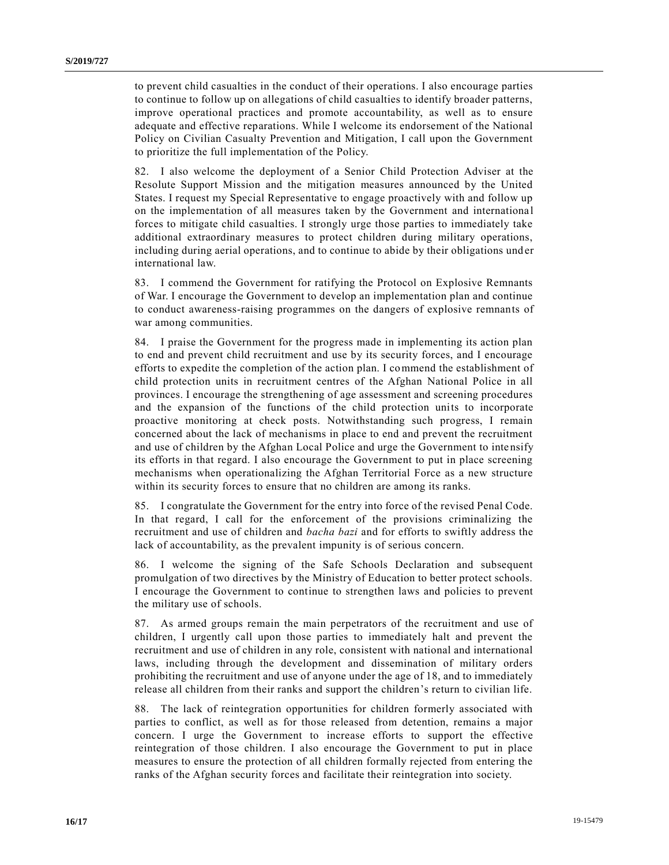to prevent child casualties in the conduct of their operations. I also encourage parties to continue to follow up on allegations of child casualties to identify broader patterns, improve operational practices and promote accountability, as well as to ensure adequate and effective reparations. While I welcome its endorsement of the National Policy on Civilian Casualty Prevention and Mitigation, I call upon the Government to prioritize the full implementation of the Policy.

82. I also welcome the deployment of a Senior Child Protection Adviser at the Resolute Support Mission and the mitigation measures announced by the United States. I request my Special Representative to engage proactively with and follow up on the implementation of all measures taken by the Government and internationa l forces to mitigate child casualties. I strongly urge those parties to immediately take additional extraordinary measures to protect children during military operations, including during aerial operations, and to continue to abide by their obligations und er international law.

83. I commend the Government for ratifying the Protocol on Explosive Remnants of War. I encourage the Government to develop an implementation plan and continue to conduct awareness-raising programmes on the dangers of explosive remnants of war among communities.

84. I praise the Government for the progress made in implementing its action plan to end and prevent child recruitment and use by its security forces, and I encourage efforts to expedite the completion of the action plan. I commend the establishment of child protection units in recruitment centres of the Afghan National Police in all provinces. I encourage the strengthening of age assessment and screening procedures and the expansion of the functions of the child protection units to incorporate proactive monitoring at check posts. Notwithstanding such progress, I remain concerned about the lack of mechanisms in place to end and prevent the recruitment and use of children by the Afghan Local Police and urge the Government to inte nsify its efforts in that regard. I also encourage the Government to put in place screening mechanisms when operationalizing the Afghan Territorial Force as a new structure within its security forces to ensure that no children are among its ranks.

85. I congratulate the Government for the entry into force of the revised Penal Code. In that regard, I call for the enforcement of the provisions criminalizing the recruitment and use of children and *bacha bazi* and for efforts to swiftly address the lack of accountability, as the prevalent impunity is of serious concern.

86. I welcome the signing of the Safe Schools Declaration and subsequent promulgation of two directives by the Ministry of Education to better protect schools. I encourage the Government to continue to strengthen laws and policies to prevent the military use of schools.

87. As armed groups remain the main perpetrators of the recruitment and use of children, I urgently call upon those parties to immediately halt and prevent the recruitment and use of children in any role, consistent with national and international laws, including through the development and dissemination of military orders prohibiting the recruitment and use of anyone under the age of 18, and to immediately release all children from their ranks and support the children's return to civilian life.

88. The lack of reintegration opportunities for children formerly associated with parties to conflict, as well as for those released from detention, remains a major concern. I urge the Government to increase efforts to support the effective reintegration of those children. I also encourage the Government to put in place measures to ensure the protection of all children formally rejected from entering the ranks of the Afghan security forces and facilitate their reintegration into society.